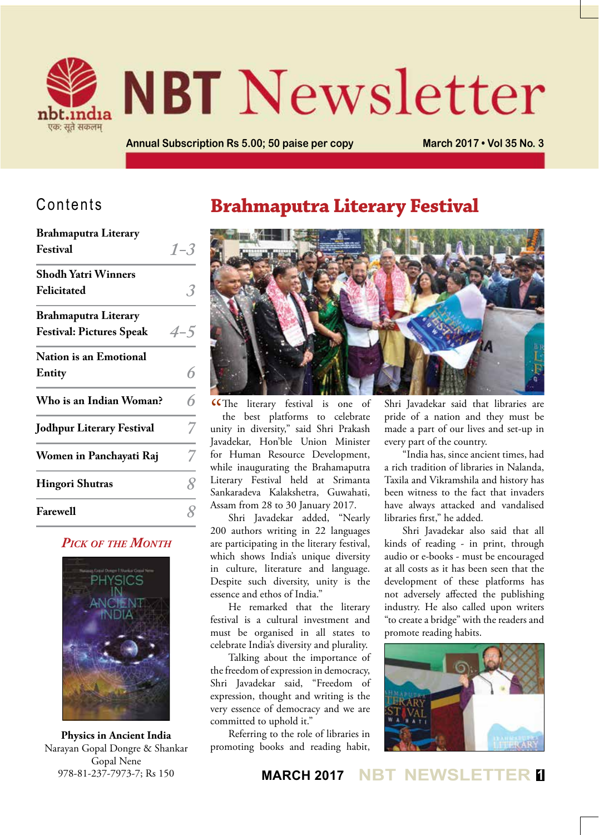

# **NBT Newsletter**

**Annual Subscription Rs 5.00; 50 paise per copy March 2017 • Vol 35 No. 3**

# Contents

| <b>Brahmaputra Literary</b>      |         |
|----------------------------------|---------|
| Festival                         | $1 - 3$ |
| <b>Shodh Yatri Winners</b>       |         |
| Felicitated                      |         |
| <b>Brahmaputra Literary</b>      |         |
| <b>Festival: Pictures Speak</b>  | $4 - 5$ |
| Nation is an Emotional           |         |
| Entity                           |         |
| Who is an Indian Woman?          | 6       |
| <b>Jodhpur Literary Festival</b> |         |
| Women in Panchayati Raj          |         |
| <b>Hingori Shutras</b>           | Q       |
| <b>Farewell</b>                  |         |

### *Pick of the Month*



**Physics in Ancient India** Narayan Gopal Dongre & Shankar Gopal Nene 978-81-237-7973-7; Rs 150

# **Brahmaputra Literary Festival**



The literary festival is one of<br>the best platforms to celebrate the best platforms to celebrate unity in diversity," said Shri Prakash Javadekar, Hon'ble Union Minister for Human Resource Development, while inaugurating the Brahamaputra Literary Festival held at Srimanta Sankaradeva Kalakshetra, Guwahati, Assam from 28 to 30 January 2017.

Shri Javadekar added, "Nearly 200 authors writing in 22 languages are participating in the literary festival, which shows India's unique diversity in culture, literature and language. Despite such diversity, unity is the essence and ethos of India."

He remarked that the literary festival is a cultural investment and must be organised in all states to celebrate India's diversity and plurality.

Talking about the importance of the freedom of expression in democracy, Shri Javadekar said, "Freedom of expression, thought and writing is the very essence of democracy and we are committed to uphold it."

Referring to the role of libraries in promoting books and reading habit, Shri Javadekar said that libraries are pride of a nation and they must be made a part of our lives and set-up in every part of the country.

"India has, since ancient times, had a rich tradition of libraries in Nalanda, Taxila and Vikramshila and history has been witness to the fact that invaders have always attacked and vandalised libraries first," he added.

Shri Javadekar also said that all kinds of reading - in print, through audio or e-books - must be encouraged at all costs as it has been seen that the development of these platforms has not adversely affected the publishing industry. He also called upon writers "to create a bridge" with the readers and promote reading habits.



## **MARCH 2017 NBT NEWSLETTER <sup>1</sup>**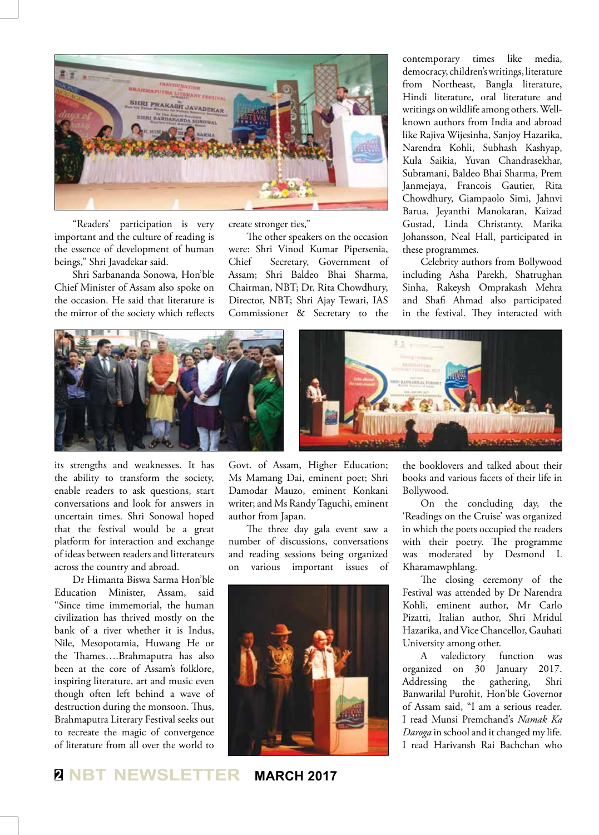

"Readers' participation is very important and the culture of reading is the essence of development of human beings," Shri Javadekar said.

Shri Sarbananda Sonowa, Hon'ble Chief Minister of Assam also spoke on the occasion. He said that literature is the mirror of the society which reflects create stronger ties,"

The other speakers on the occasion were: Shri Vinod Kumar Pipersenia, Chief Secretary, Government of Assam; Shri Baldeo Bhai Sharma, Chairman, NBT; Dr. Rita Chowdhury, Director, NBT; Shri Ajay Tewari, IAS Commissioner & Secretary to the

contemporary times like media, democracy, children's writings, literature from Northeast, Bangla literature, Hindi literature, oral literature and writings on wildlife among others. Wellknown authors from India and abroad like Rajiva Wijesinha, Sanjoy Hazarika, Narendra Kohli, Subhash Kashyap, Kula Saikia, Yuvan Chandrasekhar, Subramani, Baldeo Bhai Sharma, Prem Janmejaya, Francois Gautier, Rita Chowdhury, Giampaolo Simi, Jahnvi Barua, Jeyanthi Manokaran, Kaizad Gustad, Linda Christanty, Marika Johansson, Neal Hall, participated in these programmes.

Celebrity authors from Bollywood including Asha Parekh, Shatrughan Sinha, Rakeysh Omprakash Mehra and Shafi Ahmad also participated in the festival. They interacted with



its strengths and weaknesses. It has the ability to transform the society, enable readers to ask questions, start conversations and look for answers in uncertain times. Shri Sonowal hoped that the festival would be a great platform for interaction and exchange of ideas between readers and litterateurs across the country and abroad.

Dr Himanta Biswa Sarma Hon'ble Education Minister, Assam, said "Since time immemorial, the human civilization has thrived mostly on the bank of a river whether it is Indus, Nile, Mesopotamia, Huwang He or the Thames….Brahmaputra has also been at the core of Assam's folklore, inspiring literature, art and music even though often left behind a wave of destruction during the monsoon. Thus, Brahmaputra Literary Festival seeks out to recreate the magic of convergence of literature from all over the world to Govt. of Assam, Higher Education; Ms Mamang Dai, eminent poet; Shri Damodar Mauzo, eminent Konkani writer; and Ms Randy Taguchi, eminent author from Japan.

The three day gala event saw a number of discussions, conversations and reading sessions being organized on various important issues of



the booklovers and talked about their books and various facets of their life in Bollywood.

On the concluding day, the 'Readings on the Cruise' was organized in which the poets occupied the readers with their poetry. The programme was moderated by Desmond L Kharamawphlang.

The closing ceremony of the Festival was attended by Dr Narendra Kohli, eminent author, Mr Carlo Pizatti, Italian author, Shri Mridul Hazarika, and Vice Chancellor, Gauhati University among other.

A valedictory function was organized on 30 January 2017. Addressing the gathering, Shri Banwarilal Purohit, Hon'ble Governor of Assam said, "I am a serious reader. I read Munsi Premchand's *Namak Ka Daroga* in school and it changed my life. I read Harivansh Rai Bachchan who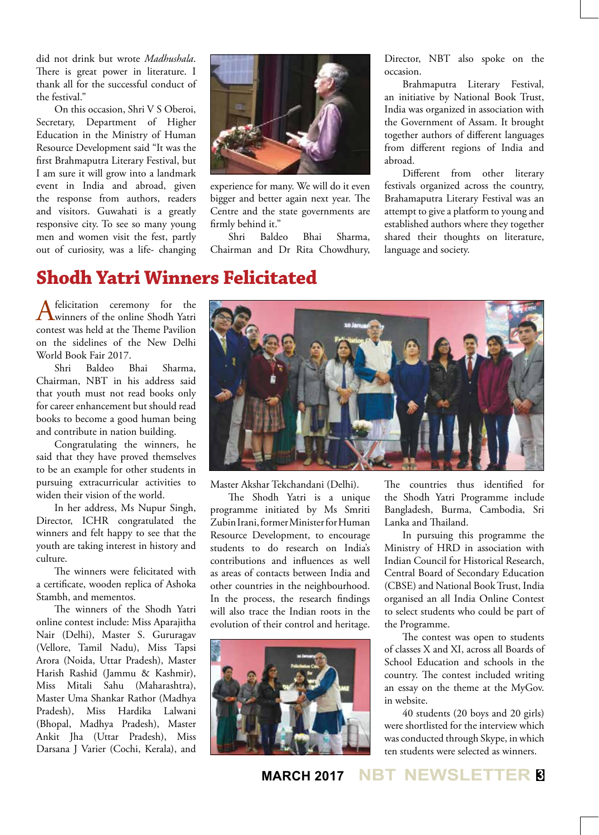did not drink but wrote *Madhushala*. There is great power in literature. I thank all for the successful conduct of the festival."

On this occasion, Shri V S Oberoi, Secretary, Department of Higher Education in the Ministry of Human Resource Development said "It was the first Brahmaputra Literary Festival, but I am sure it will grow into a landmark event in India and abroad, given the response from authors, readers and visitors. Guwahati is a greatly responsive city. To see so many young men and women visit the fest, partly out of curiosity, was a life- changing



experience for many. We will do it even bigger and better again next year. The Centre and the state governments are firmly behind it."

Shri Baldeo Bhai Sharma, Chairman and Dr Rita Chowdhury,

Director, NBT also spoke on the occasion.

Brahmaputra Literary Festival, an initiative by National Book Trust, India was organized in association with the Government of Assam. It brought together authors of different languages from different regions of India and abroad.

Different from other literary festivals organized across the country, Brahamaputra Literary Festival was an attempt to give a platform to young and established authors where they together shared their thoughts on literature, language and society.

# **Shodh Yatri Winners Felicitated**

A felicitation ceremony for the winners of the online Shodh Yatri contest was held at the Theme Pavilion on the sidelines of the New Delhi World Book Fair 2017.

Shri Baldeo Bhai Sharma, Chairman, NBT in his address said that youth must not read books only for career enhancement but should read books to become a good human being and contribute in nation building.

Congratulating the winners, he said that they have proved themselves to be an example for other students in pursuing extracurricular activities to widen their vision of the world.

In her address, Ms Nupur Singh, Director, ICHR congratulated the winners and felt happy to see that the youth are taking interest in history and culture.

The winners were felicitated with a certificate, wooden replica of Ashoka Stambh, and mementos.

The winners of the Shodh Yatri online contest include: Miss Aparajitha Nair (Delhi), Master S. Gururagav (Vellore, Tamil Nadu), Miss Tapsi Arora (Noida, Uttar Pradesh), Master Harish Rashid (Jammu & Kashmir), Miss Mitali Sahu (Maharashtra), Master Uma Shankar Rathor (Madhya Pradesh), Miss Hardika Lalwani (Bhopal, Madhya Pradesh), Master Ankit Jha (Uttar Pradesh), Miss Darsana J Varier (Cochi, Kerala), and



Master Akshar Tekchandani (Delhi).

The Shodh Yatri is a unique programme initiated by Ms Smriti Zubin Irani, former Minister for Human Resource Development, to encourage students to do research on India's contributions and influences as well as areas of contacts between India and other countries in the neighbourhood. In the process, the research findings will also trace the Indian roots in the evolution of their control and heritage.



The countries thus identified for the Shodh Yatri Programme include Bangladesh, Burma, Cambodia, Sri Lanka and Thailand.

In pursuing this programme the Ministry of HRD in association with Indian Council for Historical Research, Central Board of Secondary Education (CBSE) and National Book Trust, India organised an all India Online Contest to select students who could be part of the Programme.

The contest was open to students of classes X and XI, across all Boards of School Education and schools in the country. The contest included writing an essay on the theme at the MyGov. in website.

40 students (20 boys and 20 girls) were shortlisted for the interview which was conducted through Skype, in which ten students were selected as winners.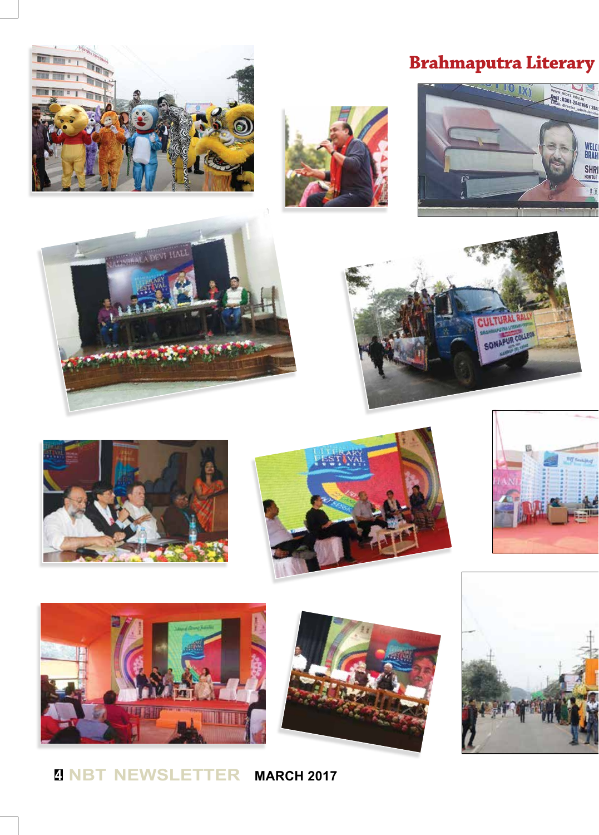



# **Brahmaputra Literary**



















# **<sup>4</sup> NBT NEWSLETTER MARCH 2017**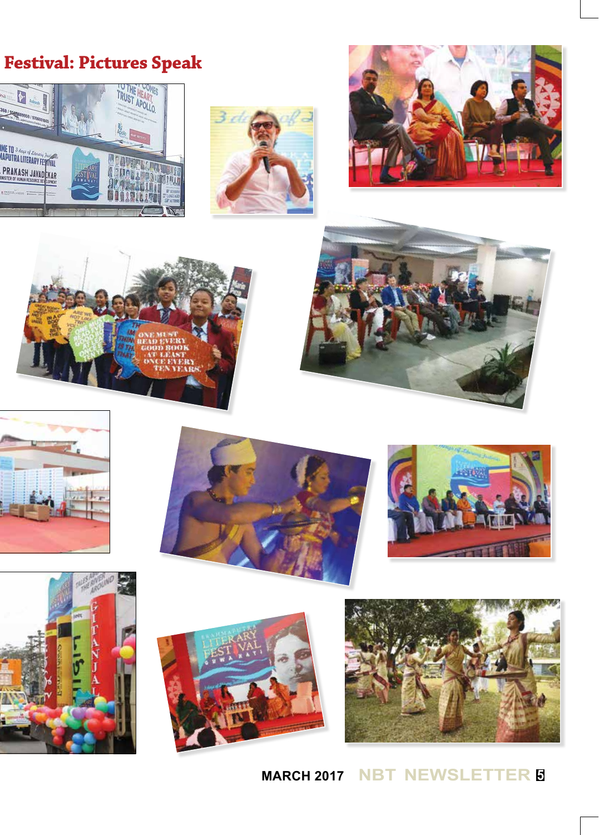# **Brahmaputra Literary Festival: Pictures Speak**























**MARCH 2017 NBT NEWSLETTER <sup>5</sup>**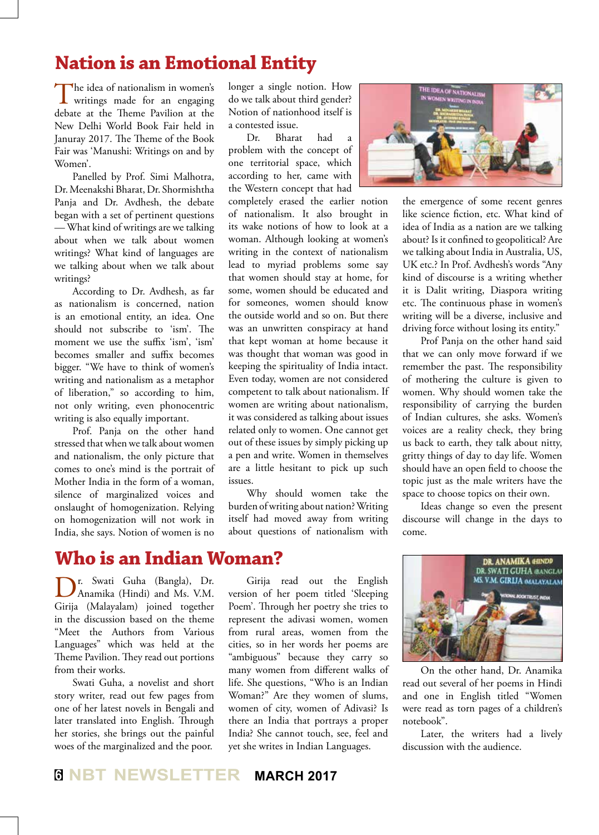# **Nation is an Emotional Entity**

The idea of nationalism in women's writings made for an engaging debate at the Theme Pavilion at the New Delhi World Book Fair held in Januray 2017. The Theme of the Book Fair was 'Manushi: Writings on and by Women'.

Panelled by Prof. Simi Malhotra, Dr. Meenakshi Bharat, Dr. Shormishtha Panja and Dr. Avdhesh, the debate began with a set of pertinent questions — What kind of writings are we talking about when we talk about women writings? What kind of languages are we talking about when we talk about writings?

According to Dr. Avdhesh, as far as nationalism is concerned, nation is an emotional entity, an idea. One should not subscribe to 'ism'. The moment we use the suffix 'ism', 'ism' becomes smaller and suffix becomes bigger. "We have to think of women's writing and nationalism as a metaphor of liberation," so according to him, not only writing, even phonocentric writing is also equally important.

Prof. Panja on the other hand stressed that when we talk about women and nationalism, the only picture that comes to one's mind is the portrait of Mother India in the form of a woman, silence of marginalized voices and onslaught of homogenization. Relying on homogenization will not work in India, she says. Notion of women is no

# **Who is an Indian Woman?**

Dr. Swati Guha (Bangla), Dr. Anamika (Hindi) and Ms. V.M. Girija (Malayalam) joined together in the discussion based on the theme "Meet the Authors from Various Languages" which was held at the Theme Pavilion. They read out portions from their works.

Swati Guha, a novelist and short story writer, read out few pages from one of her latest novels in Bengali and later translated into English. Through her stories, she brings out the painful woes of the marginalized and the poor.

longer a single notion. How do we talk about third gender? Notion of nationhood itself is a contested issue.

Dr. Bharat had a problem with the concept of one territorial space, which according to her, came with the Western concept that had

completely erased the earlier notion of nationalism. It also brought in its wake notions of how to look at a woman. Although looking at women's writing in the context of nationalism lead to myriad problems some say that women should stay at home, for some, women should be educated and for someones, women should know the outside world and so on. But there was an unwritten conspiracy at hand that kept woman at home because it was thought that woman was good in keeping the spirituality of India intact. Even today, women are not considered competent to talk about nationalism. If women are writing about nationalism, it was considered as talking about issues related only to women. One cannot get out of these issues by simply picking up a pen and write. Women in themselves are a little hesitant to pick up such issues.

Why should women take the burden of writing about nation? Writing itself had moved away from writing about questions of nationalism with

Girija read out the English version of her poem titled 'Sleeping Poem'. Through her poetry she tries to represent the adivasi women, women from rural areas, women from the cities, so in her words her poems are "ambiguous" because they carry so many women from different walks of life. She questions, "Who is an Indian Woman?" Are they women of slums, women of city, women of Adivasi? Is there an India that portrays a proper India? She cannot touch, see, feel and yet she writes in Indian Languages.



the emergence of some recent genres like science fiction, etc. What kind of idea of India as a nation are we talking about? Is it confined to geopolitical? Are we talking about India in Australia, US, UK etc.? In Prof. Avdhesh's words "Any kind of discourse is a writing whether it is Dalit writing, Diaspora writing etc. The continuous phase in women's writing will be a diverse, inclusive and driving force without losing its entity."

Prof Panja on the other hand said that we can only move forward if we remember the past. The responsibility of mothering the culture is given to women. Why should women take the responsibility of carrying the burden of Indian cultures, she asks. Women's voices are a reality check, they bring us back to earth, they talk about nitty, gritty things of day to day life. Women should have an open field to choose the topic just as the male writers have the space to choose topics on their own.

Ideas change so even the present discourse will change in the days to come.



On the other hand, Dr. Anamika read out several of her poems in Hindi and one in English titled "Women were read as torn pages of a children's notebook".

Later, the writers had a lively discussion with the audience.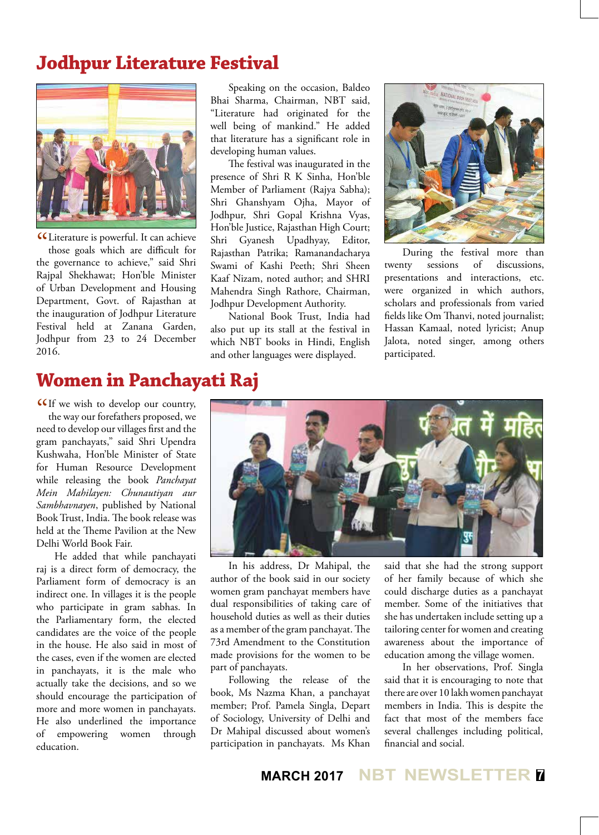# **Jodhpur Literature Festival**



CLI terature is powerful. It can achieve<br>those goals which are difficult for those goals which are difficult for the governance to achieve," said Shri Rajpal Shekhawat; Hon'ble Minister of Urban Development and Housing Department, Govt. of Rajasthan at the inauguration of Jodhpur Literature Festival held at Zanana Garden, Jodhpur from 23 to 24 December 2016.

Speaking on the occasion, Baldeo Bhai Sharma, Chairman, NBT said, "Literature had originated for the well being of mankind." He added that literature has a significant role in developing human values.

The festival was inaugurated in the presence of Shri R K Sinha, Hon'ble Member of Parliament (Rajya Sabha); Shri Ghanshyam Ojha, Mayor of Jodhpur, Shri Gopal Krishna Vyas, Hon'ble Justice, Rajasthan High Court; Shri Gyanesh Upadhyay, Editor, Rajasthan Patrika; Ramanandacharya Swami of Kashi Peeth; Shri Sheen Kaaf Nizam, noted author; and SHRI Mahendra Singh Rathore, Chairman, Jodhpur Development Authority.

National Book Trust, India had also put up its stall at the festival in which NBT books in Hindi, English and other languages were displayed.



During the festival more than twenty sessions of discussions, presentations and interactions, etc. were organized in which authors, scholars and professionals from varied fields like Om Thanvi, noted journalist; Hassan Kamaal, noted lyricist; Anup Jalota, noted singer, among others participated.

# **Women in Panchayati Raj**

CIf we wish to develop our country,<br>the way our forefathers proposed, we the way our forefathers proposed, we need to develop our villages first and the gram panchayats," said Shri Upendra Kushwaha, Hon'ble Minister of State for Human Resource Development while releasing the book *Panchayat Mein Mahilayen: Chunautiyan aur Sambhavnayen*, published by National Book Trust, India. The book release was held at the Theme Pavilion at the New Delhi World Book Fair.

He added that while panchayati raj is a direct form of democracy, the Parliament form of democracy is an indirect one. In villages it is the people who participate in gram sabhas. In the Parliamentary form, the elected candidates are the voice of the people in the house. He also said in most of the cases, even if the women are elected in panchayats, it is the male who actually take the decisions, and so we should encourage the participation of more and more women in panchayats. He also underlined the importance of empowering women through education.



In his address, Dr Mahipal, the author of the book said in our society women gram panchayat members have dual responsibilities of taking care of household duties as well as their duties as a member of the gram panchayat. The 73rd Amendment to the Constitution made provisions for the women to be part of panchayats.

Following the release of the book, Ms Nazma Khan, a panchayat member; Prof. Pamela Singla, Depart of Sociology, University of Delhi and Dr Mahipal discussed about women's participation in panchayats. Ms Khan said that she had the strong support of her family because of which she could discharge duties as a panchayat member. Some of the initiatives that she has undertaken include setting up a tailoring center for women and creating awareness about the importance of education among the village women.

In her observations, Prof. Singla said that it is encouraging to note that there are over 10 lakh women panchayat members in India. This is despite the fact that most of the members face several challenges including political, financial and social.